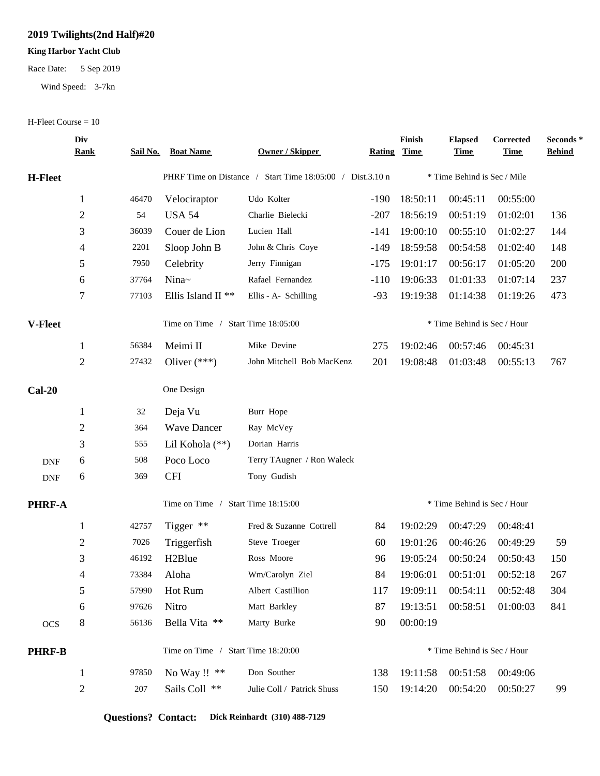## **2019 Twilights(2nd Half)#20**

## **King Harbor Yacht Club**

## Race Date: 5 Sep 2019

Wind Speed: 3-7kn

## H-Fleet Course = 10

|                | Div<br><u>Rank</u> |       | <b>Sail No. Boat Name</b>                                 | Owner / Skipper            | <b>Rating Time</b> | Finish                      | <b>Elapsed</b><br><u>Time</u> | Corrected<br><b>Time</b> | Seconds *<br><b>Behind</b> |
|----------------|--------------------|-------|-----------------------------------------------------------|----------------------------|--------------------|-----------------------------|-------------------------------|--------------------------|----------------------------|
| <b>H-Fleet</b> |                    |       | PHRF Time on Distance / Start Time 18:05:00 / Dist.3.10 n |                            |                    | * Time Behind is Sec / Mile |                               |                          |                            |
|                | $\mathbf{1}$       | 46470 | Velociraptor                                              | Udo Kolter                 | $-190$             | 18:50:11                    | 00:45:11                      | 00:55:00                 |                            |
|                | $\overline{2}$     | 54    | <b>USA 54</b>                                             | Charlie Bielecki           | $-207$             | 18:56:19                    | 00:51:19                      | 01:02:01                 | 136                        |
|                | 3                  | 36039 | Couer de Lion                                             | Lucien Hall                | -141               | 19:00:10                    | 00:55:10                      | 01:02:27                 | 144                        |
|                | 4                  | 2201  | Sloop John B                                              | John & Chris Coye          | -149               | 18:59:58                    | 00:54:58                      | 01:02:40                 | 148                        |
|                | 5                  | 7950  | Celebrity                                                 | Jerry Finnigan             | $-175$             | 19:01:17                    | 00:56:17                      | 01:05:20                 | 200                        |
|                | 6                  | 37764 | Nina~                                                     | Rafael Fernandez           | $-110$             | 19:06:33                    | 01:01:33                      | 01:07:14                 | 237                        |
|                | 7                  | 77103 | Ellis Island II <sup>**</sup>                             | Ellis - A- Schilling       | $-93$              | 19:19:38                    | 01:14:38                      | 01:19:26                 | 473                        |
| <b>V-Fleet</b> |                    |       | Time on Time /<br>Start Time 18:05:00                     |                            |                    |                             | * Time Behind is Sec / Hour   |                          |                            |
|                | $\mathbf{1}$       | 56384 | Meimi II                                                  | Mike Devine                | 275                | 19:02:46                    | 00:57:46                      | 00:45:31                 |                            |
|                | $\overline{2}$     | 27432 | Oliver $(***)$                                            | John Mitchell Bob MacKenz  | 201                | 19:08:48                    | 01:03:48                      | 00:55:13                 | 767                        |
| $Cal-20$       |                    |       | One Design                                                |                            |                    |                             |                               |                          |                            |
|                | $\mathbf{1}$       | 32    | Deja Vu                                                   | Burr Hope                  |                    |                             |                               |                          |                            |
|                | $\overline{c}$     | 364   | <b>Wave Dancer</b>                                        | Ray McVey                  |                    |                             |                               |                          |                            |
|                | 3                  | 555   | Lil Kohola (**)                                           | Dorian Harris              |                    |                             |                               |                          |                            |
| <b>DNF</b>     | 6                  | 508   | Poco Loco                                                 | Terry TAugner / Ron Waleck |                    |                             |                               |                          |                            |
| <b>DNF</b>     | 6                  | 369   | <b>CFI</b>                                                | Tony Gudish                |                    |                             |                               |                          |                            |
| <b>PHRF-A</b>  |                    |       | Time on Time /<br>Start Time 18:15:00                     |                            |                    | * Time Behind is Sec / Hour |                               |                          |                            |
|                | 1                  | 42757 | Tigger $**$                                               | Fred & Suzanne Cottrell    | 84                 | 19:02:29                    | 00:47:29                      | 00:48:41                 |                            |
|                | 2                  | 7026  | Triggerfish                                               | Steve Troeger              | 60                 | 19:01:26                    | 00:46:26                      | 00:49:29                 | 59                         |
|                | $\mathfrak{Z}$     | 46192 | H <sub>2</sub> Blue                                       | Ross Moore                 | 96                 | 19:05:24                    | 00:50:24                      | 00:50:43                 | 150                        |
|                | 4                  | 73384 | Aloha                                                     | Wm/Carolyn Ziel            | 84                 | 19:06:01                    |                               | 00:51:01 00:52:18        | 267                        |
|                | 5                  | 57990 | Hot Rum                                                   | Albert Castillion          | 117                | 19:09:11                    | 00:54:11                      | 00:52:48                 | 304                        |
|                | 6                  | 97626 | Nitro                                                     | Matt Barkley               | 87                 | 19:13:51                    | 00:58:51                      | 01:00:03                 | 841                        |
| <b>OCS</b>     | 8                  | 56136 | Bella Vita **                                             | Marty Burke                | 90                 | 00:00:19                    |                               |                          |                            |
| <b>PHRF-B</b>  |                    |       | Time on Time / Start Time 18:20:00                        |                            |                    | * Time Behind is Sec / Hour |                               |                          |                            |
|                | 1                  | 97850 | No Way !! **                                              | Don Souther                | 138                | 19:11:58                    | 00:51:58                      | 00:49:06                 |                            |
|                | $\overline{c}$     | 207   | Sails Coll **                                             | Julie Coll / Patrick Shuss | 150                | 19:14:20                    | 00:54:20                      | 00:50:27                 | 99                         |
|                |                    |       |                                                           |                            |                    |                             |                               |                          |                            |

**Questions? Contact: Dick Reinhardt (310) 488-7129**